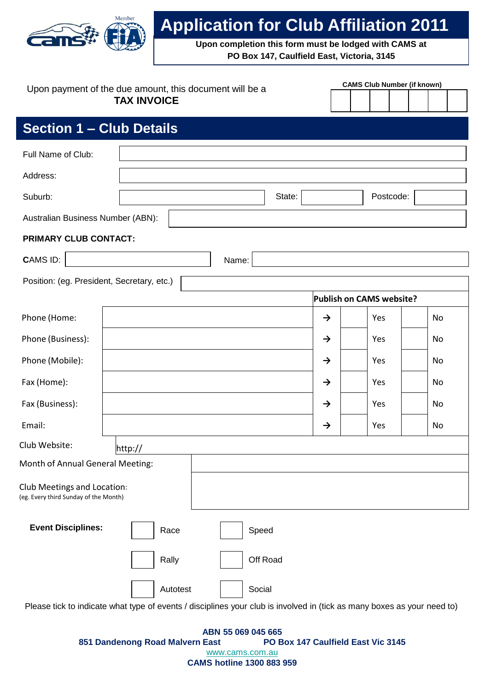

# **Application for Club Affiliation 2011**

**Upon completion this form must be lodged with CAMS at PO Box 147, Caulfield East, Victoria, 3145**

|                                                                      | Upon payment of the due amount, this document will be a                                                                 |          |               | <b>CAMS Club Number (if known)</b> |    |  |  |  |
|----------------------------------------------------------------------|-------------------------------------------------------------------------------------------------------------------------|----------|---------------|------------------------------------|----|--|--|--|
|                                                                      | <b>TAX INVOICE</b>                                                                                                      |          |               |                                    |    |  |  |  |
| <b>Section 1 – Club Details</b>                                      |                                                                                                                         |          |               |                                    |    |  |  |  |
| Full Name of Club:                                                   |                                                                                                                         |          |               |                                    |    |  |  |  |
| Address:                                                             |                                                                                                                         |          |               |                                    |    |  |  |  |
| Suburb:                                                              |                                                                                                                         | State:   |               | Postcode:                          |    |  |  |  |
| Australian Business Number (ABN):                                    |                                                                                                                         |          |               |                                    |    |  |  |  |
| PRIMARY CLUB CONTACT:                                                |                                                                                                                         |          |               |                                    |    |  |  |  |
| <b>CAMS ID:</b>                                                      |                                                                                                                         | Name:    |               |                                    |    |  |  |  |
| Position: (eg. President, Secretary, etc.)                           |                                                                                                                         |          |               |                                    |    |  |  |  |
|                                                                      |                                                                                                                         |          |               | Publish on CAMS website?           |    |  |  |  |
| Phone (Home:                                                         |                                                                                                                         |          | $\rightarrow$ | Yes                                | No |  |  |  |
| Phone (Business):                                                    |                                                                                                                         |          | $\rightarrow$ | Yes                                | No |  |  |  |
| Phone (Mobile):                                                      |                                                                                                                         |          | $\rightarrow$ | Yes                                | No |  |  |  |
| Fax (Home):                                                          |                                                                                                                         |          | $\rightarrow$ | Yes                                | No |  |  |  |
| Fax (Business):                                                      |                                                                                                                         |          | $\rightarrow$ | Yes                                | No |  |  |  |
| Email:                                                               |                                                                                                                         |          | $\rightarrow$ | Yes                                | No |  |  |  |
| Club Website:                                                        | http://                                                                                                                 |          |               |                                    |    |  |  |  |
| Month of Annual General Meeting:                                     |                                                                                                                         |          |               |                                    |    |  |  |  |
| Club Meetings and Location:<br>(eg. Every third Sunday of the Month) |                                                                                                                         |          |               |                                    |    |  |  |  |
| <b>Event Disciplines:</b>                                            | Race                                                                                                                    | Speed    |               |                                    |    |  |  |  |
|                                                                      | Rally                                                                                                                   | Off Road |               |                                    |    |  |  |  |
|                                                                      | Autotest                                                                                                                | Social   |               |                                    |    |  |  |  |
|                                                                      | Please tick to indicate what type of events / disciplines your club is involved in (tick as many boxes as your need to) |          |               |                                    |    |  |  |  |

**ABN 55 069 045 665 851 Dandenong Road Malvern East PO Box 147 Caulfield East Vic 3145** [www.cams.com.au](http://www.cams.com.au/) **CAMS hotline 1300 883 959**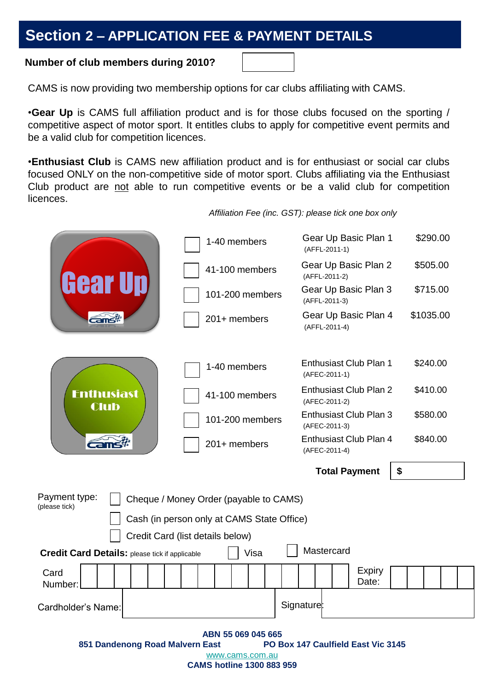## **Section 2 – APPLICATION FEE & PAYMENT DETAILS**

### **Number of club members during 2010?**

CAMS is now providing two membership options for car clubs affiliating with CAMS.

•**Gear Up** is CAMS full affiliation product and is for those clubs focused on the sporting / competitive aspect of motor sport. It entitles clubs to apply for competitive event permits and be a valid club for competition licences.

•**Enthusiast Club** is CAMS new affiliation product and is for enthusiast or social car clubs focused ONLY on the non-competitive side of motor sport. Clubs affiliating via the Enthusiast Club product are not able to run competitive events or be a valid club for competition licences.

Gear Up Basic Plan 1 \$290.00 1-40 members (AFFL-2011-1) Gear Up Basic Plan 2 \$505.00 41-100 members Gear Up (AFFL-2011-2) Gear Up Basic Plan 3 \$715.00 101-200 members (AFFL-2011-3) Gear Up Basic Plan 4 \$1035.00 **Expansive** 201+ members (AFFL-2011-4) Enthusiast Club Plan 1 \$240.00 1-40 members (AFEC-2011-1) Enthusiast Club Plan 2 \$410.00 **Fnthusiast** 41-100 members (AFEC-2011-2) **Club** Enthusiast Club Plan 3 \$580.00 101-200 members (AFEC-2011-3) Enthusiast Club Plan 4 \$840.00 **Cams** 201+ members (AFEC-2011-4) **Total Payment \$** Payment type: Cheque / Money Order (payable to CAMS) (please tick) Cash (in person only at CAMS State Office) Credit Card (list details below) **Credit Card Details:** please tick if applicable  $\Box$  Visa  $\Box$  Mastercard **Expiry** Card Date: Number: Cardholder's Name: Signature: Signature: Signature: Signature: Signature: Signature: Signature: Signature: Signature: Signature: Signature: Signature: Signature: Signature: Signature: Signature: Signature: Signature: Signa **ABN 55 069 045 665 851 Dandenong Road Malvern East** [www.cams.com.au](http://www.cams.com.au/)

*Affiliation Fee (inc. GST): please tick one box only*

**CAMS hotline 1300 883 959**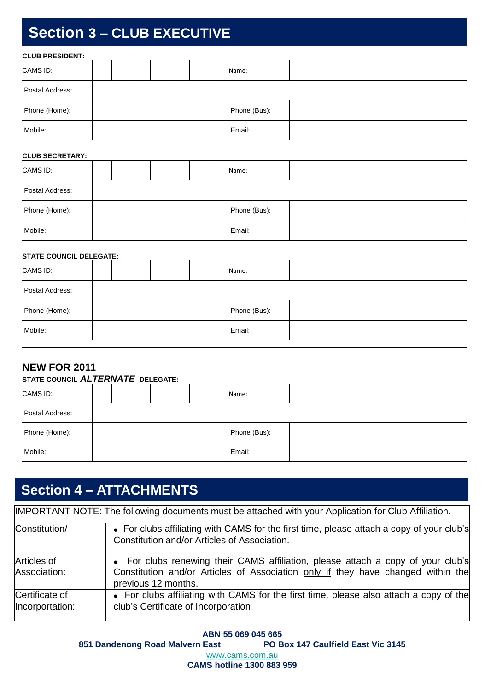# **Section 3 – CLUB EXECUTIVE**

| <b>CLUB PRESIDENT:</b> |  |  |  |  |  |  |  |              |  |  |
|------------------------|--|--|--|--|--|--|--|--------------|--|--|
| CAMS ID:               |  |  |  |  |  |  |  | Name:        |  |  |
| Postal Address:        |  |  |  |  |  |  |  |              |  |  |
| Phone (Home):          |  |  |  |  |  |  |  | Phone (Bus): |  |  |
| Mobile:                |  |  |  |  |  |  |  | Email:       |  |  |

#### **CLUB SECRETARY:**

| CAMS ID:        |  |  |  |  |  |  | Name:        |  |
|-----------------|--|--|--|--|--|--|--------------|--|
| Postal Address: |  |  |  |  |  |  |              |  |
| Phone (Home):   |  |  |  |  |  |  | Phone (Bus): |  |
| Mobile:         |  |  |  |  |  |  | Email:       |  |

#### **STATE COUNCIL DELEGATE:**

| CAMS ID:        |  |  |  |  |  |  |  | Name:        |  |  |
|-----------------|--|--|--|--|--|--|--|--------------|--|--|
| Postal Address: |  |  |  |  |  |  |  |              |  |  |
| Phone (Home):   |  |  |  |  |  |  |  | Phone (Bus): |  |  |
| Mobile:         |  |  |  |  |  |  |  | Email:       |  |  |

### **NEW FOR 2011**

| STATE COUNCIL ALTERNATE DELEGATE: |  |  |  |  |  |  |  |              |  |  |
|-----------------------------------|--|--|--|--|--|--|--|--------------|--|--|
| CAMS ID:                          |  |  |  |  |  |  |  | Name:        |  |  |
| Postal Address:                   |  |  |  |  |  |  |  |              |  |  |
| Phone (Home):                     |  |  |  |  |  |  |  | Phone (Bus): |  |  |
| Mobile:                           |  |  |  |  |  |  |  | Email:       |  |  |

## **Section 4 – ATTACHMENTS**

|                                   | IMPORTANT NOTE: The following documents must be attached with your Application for Club Affiliation.                                                                                        |
|-----------------------------------|---------------------------------------------------------------------------------------------------------------------------------------------------------------------------------------------|
| Constitution/                     | • For clubs affiliating with CAMS for the first time, please attach a copy of your club's<br>Constitution and/or Articles of Association.                                                   |
| Articles of<br>Association:       | • For clubs renewing their CAMS affiliation, please attach a copy of your club's<br>Constitution and/or Articles of Association only if they have changed within the<br>previous 12 months. |
| Certificate of<br>Incorportation: | • For clubs affiliating with CAMS for the first time, please also attach a copy of the<br>club's Certificate of Incorporation                                                               |

**ABN 55 069 045 665 851 Dandenong Road Malvern East PO Box 147 Caulfield East Vic 3145** [www.cams.com.au](http://www.cams.com.au/) **CAMS hotline 1300 883 959**